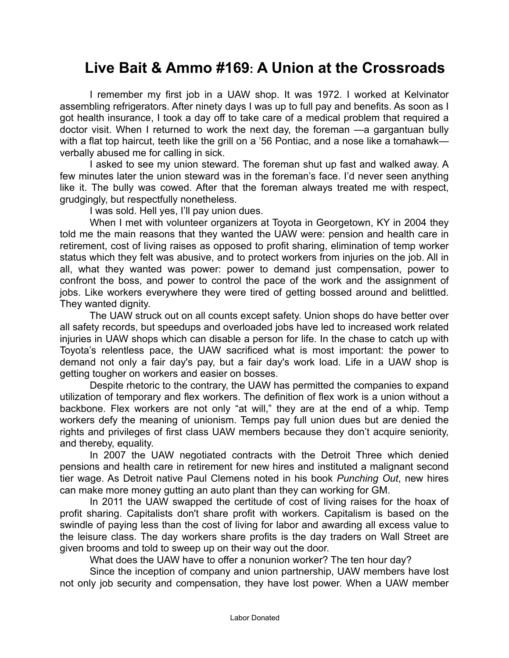## **Live Bait & Ammo #169: A Union at the Crossroads**

 I remember my first job in a UAW shop. It was 1972. I worked at Kelvinator assembling refrigerators. After ninety days I was up to full pay and benefits. As soon as I got health insurance, I took a day off to take care of a medical problem that required a doctor visit. When I returned to work the next day, the foreman —a gargantuan bully with a flat top haircut, teeth like the grill on a '56 Pontiac, and a nose like a tomahawkverbally abused me for calling in sick.

 I asked to see my union steward. The foreman shut up fast and walked away. A few minutes later the union steward was in the foreman's face. I'd never seen anything like it. The bully was cowed. After that the foreman always treated me with respect, grudgingly, but respectfully nonetheless.

I was sold. Hell yes, I'll pay union dues.

 When I met with volunteer organizers at Toyota in Georgetown, KY in 2004 they told me the main reasons that they wanted the UAW were: pension and health care in retirement, cost of living raises as opposed to profit sharing, elimination of temp worker status which they felt was abusive, and to protect workers from injuries on the job. All in all, what they wanted was power: power to demand just compensation, power to confront the boss, and power to control the pace of the work and the assignment of jobs. Like workers everywhere they were tired of getting bossed around and belittled. They wanted dignity.

 The UAW struck out on all counts except safety. Union shops do have better over all safety records, but speedups and overloaded jobs have led to increased work related injuries in UAW shops which can disable a person for life. In the chase to catch up with Toyota's relentless pace, the UAW sacrificed what is most important: the power to demand not only a fair day's pay, but a fair day's work load. Life in a UAW shop is getting tougher on workers and easier on bosses.

 Despite rhetoric to the contrary, the UAW has permitted the companies to expand utilization of temporary and flex workers. The definition of flex work is a union without a backbone. Flex workers are not only "at will," they are at the end of a whip. Temp workers defy the meaning of unionism. Temps pay full union dues but are denied the rights and privileges of first class UAW members because they don't acquire seniority, and thereby, equality.

 In 2007 the UAW negotiated contracts with the Detroit Three which denied pensions and health care in retirement for new hires and instituted a malignant second tier wage. As Detroit native Paul Clemens noted in his book *Punching Out*, new hires can make more money gutting an auto plant than they can working for GM.

 In 2011 the UAW swapped the certitude of cost of living raises for the hoax of profit sharing. Capitalists don't share profit with workers. Capitalism is based on the swindle of paying less than the cost of living for labor and awarding all excess value to the leisure class. The day workers share profits is the day traders on Wall Street are given brooms and told to sweep up on their way out the door.

What does the UAW have to offer a nonunion worker? The ten hour day?

 Since the inception of company and union partnership, UAW members have lost not only job security and compensation, they have lost power. When a UAW member